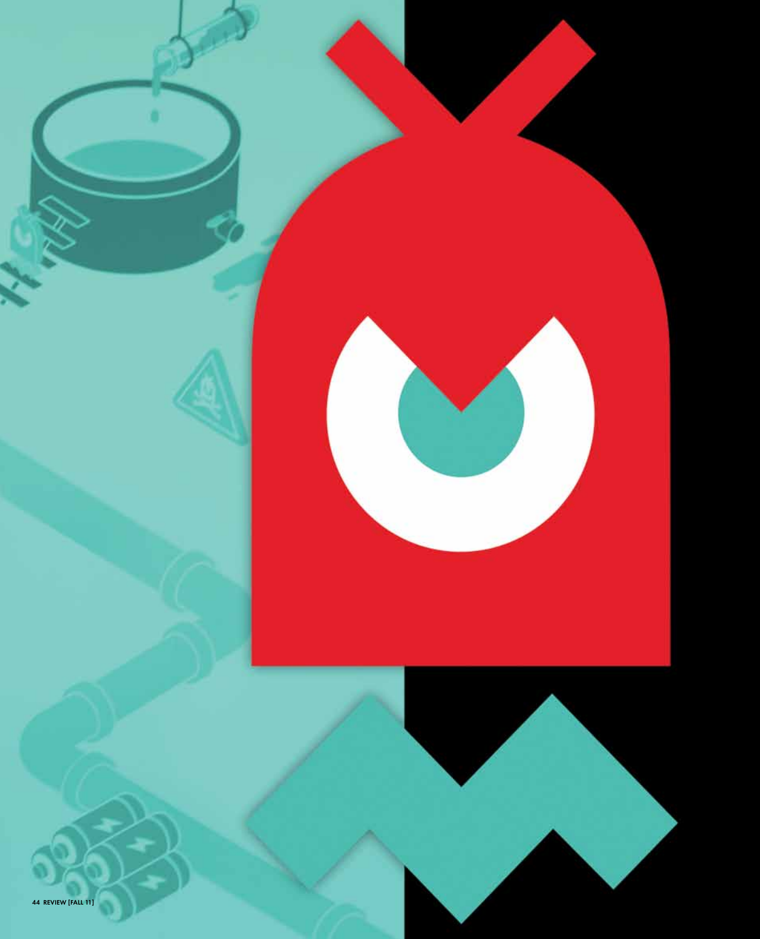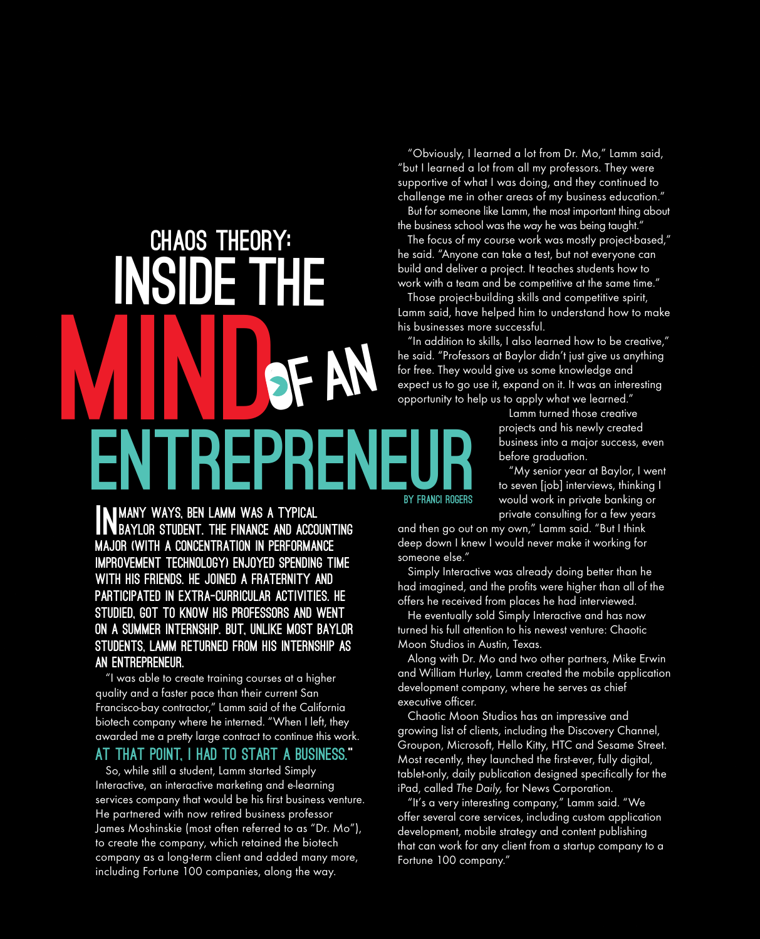## INSIDE the Minder ENTREPRENEUR ofan Chaos Theory: by Franci Rogers

"Obviously, I learned a lot from Dr. Mo," Lamm said, "but I learned a lot from all my professors. They were supportive of what I was doing, and they continued to challenge me in other areas of my business education."

But for someone like Lamm, the most important thing about the business school was the way he was being taught."

The focus of my course work was mostly project-based," he said. "Anyone can take a test, but not everyone can build and deliver a project. It teaches students how to work with a team and be competitive at the same time."

Those project-building skills and competitive spirit, Lamm said, have helped him to understand how to make his businesses more successful.

"In addition to skills, I also learned how to be creative," he said. "Professors at Baylor didn't just give us anything for free. They would give us some knowledge and expect us to go use it, expand on it. It was an interesting opportunity to help us to apply what we learned."

> Lamm turned those creative projects and his newly created business into a major success, even before graduation.

"My senior year at Baylor, I went to seven [job] interviews, thinking I would work in private banking or private consulting for a few years

IN MANY WAYS, BEN LAMM WAS A TYPICAL<br>IN BAYLOR STUDENT. THE FINANCE AND ACCOUNTING major (with a concentration in performance improvement technology) enjoyed spending time with his friends. He joined a fraternity and participated in extra-curricular activities. He studied, got to know his professors and went on a summer internship. But, unlike most Baylor students, Lamm returned from his internship as an entrepreneur.

"I was able to create training courses at a higher quality and a faster pace than their current San Francisco-bay contractor," Lamm said of the California biotech company where he interned. "When I left, they awarded me a pretty large contract to continue this work.

## At that point, I had to start a business."

So, while still a student, Lamm started Simply Interactive, an interactive marketing and e-learning services company that would be his first business venture. He partnered with now retired business professor James Moshinskie (most often referred to as "Dr. Mo"), to create the company, which retained the biotech company as a long-term client and added many more, including Fortune 100 companies, along the way.

and then go out on my own," Lamm said. "But I think deep down I knew I would never make it working for someone else."

Simply Interactive was already doing better than he had imagined, and the profits were higher than all of the offers he received from places he had interviewed.

He eventually sold Simply Interactive and has now turned his full attention to his newest venture: Chaotic Moon Studios in Austin, Texas.

Along with Dr. Mo and two other partners, Mike Erwin and William Hurley, Lamm created the mobile application development company, where he serves as chief executive officer.

Chaotic Moon Studios has an impressive and growing list of clients, including the Discovery Channel, Groupon, Microsoft, Hello Kitty, HTC and Sesame Street. Most recently, they launched the first-ever, fully digital, tablet-only, daily publication designed specifically for the iPad, called The Daily, for News Corporation.

"It's a very interesting company," Lamm said. "We offer several core services, including custom application development, mobile strategy and content publishing that can work for any client from a startup company to a Fortune 100 company."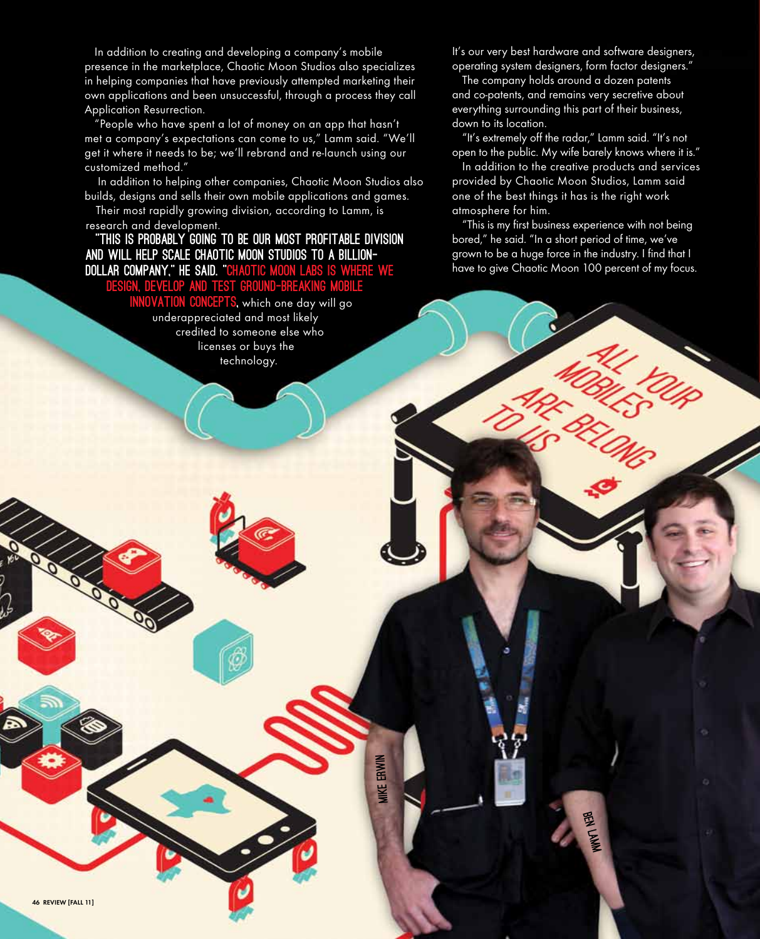In addition to creating and developing a company's mobile presence in the marketplace, Chaotic Moon Studios also specializes in helping companies that have previously attempted marketing their own applications and been unsuccessful, through a process they call Application Resurrection.

"People who have spent a lot of money on an app that hasn't met a company's expectations can come to us," Lamm said. "We'll get it where it needs to be; we'll rebrand and re-launch using our customized method."

 In addition to helping other companies, Chaotic Moon Studios also builds, designs and sells their own mobile applications and games.

Their most rapidly growing division, according to Lamm, is research and development.

"This is probably going to be our Most profitable division and will help scale Chaotic Moon Studios to a billiondollar company," he said. "Chaotic Moon Labs is where we  $GN$ , develop and test ground-breaking

**INNOVATION CONCEPTS**, which one day will go underappreciated and most likely credited to someone else who licenses or buys the technology.

It's our very best hardware and software designers, operating system designers, form factor designers."

The company holds around a dozen patents and co-patents, and remains very secretive about everything surrounding this part of their business, down to its location.

"It's extremely off the radar," Lamm said. "It's not open to the public. My wife barely knows where it is." In addition to the creative products and services provided by Chaotic Moon Studios, Lamm said one of the best things it has is the right work

atmosphere for him. "This is my first business experience with not being bored," he said. "In a short period of time, we've grown to be a huge force in the industry. I find that I have to give Chaotic Moon 100 percent of my focus.

Ben Lamm

Mike Erwin